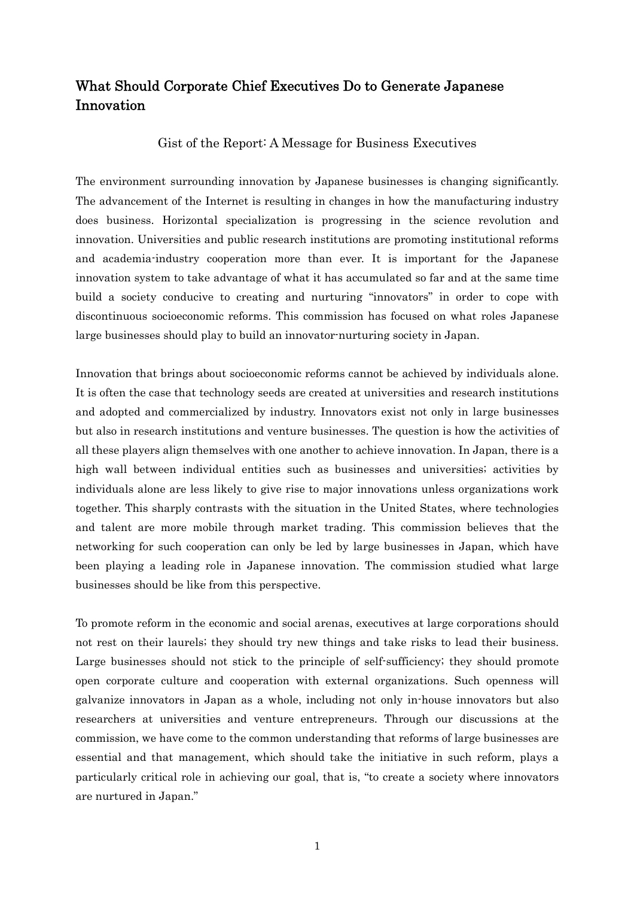### What Should Corporate Chief Executives Do to Generate Japanese Innovation

Gist of the Report: A Message for Business Executives

The environment surrounding innovation by Japanese businesses is changing significantly. The advancement of the Internet is resulting in changes in how the manufacturing industry does business. Horizontal specialization is progressing in the science revolution and innovation. Universities and public research institutions are promoting institutional reforms and academia-industry cooperation more than ever. It is important for the Japanese innovation system to take advantage of what it has accumulated so far and at the same time build a society conducive to creating and nurturing "innovators" in order to cope with discontinuous socioeconomic reforms. This commission has focused on what roles Japanese large businesses should play to build an innovator-nurturing society in Japan.

Innovation that brings about socioeconomic reforms cannot be achieved by individuals alone. It is often the case that technology seeds are created at universities and research institutions and adopted and commercialized by industry. Innovators exist not only in large businesses but also in research institutions and venture businesses. The question is how the activities of all these players align themselves with one another to achieve innovation. In Japan, there is a high wall between individual entities such as businesses and universities; activities by individuals alone are less likely to give rise to major innovations unless organizations work together. This sharply contrasts with the situation in the United States, where technologies and talent are more mobile through market trading. This commission believes that the networking for such cooperation can only be led by large businesses in Japan, which have been playing a leading role in Japanese innovation. The commission studied what large businesses should be like from this perspective.

To promote reform in the economic and social arenas, executives at large corporations should not rest on their laurels; they should try new things and take risks to lead their business. Large businesses should not stick to the principle of self-sufficiency; they should promote open corporate culture and cooperation with external organizations. Such openness will galvanize innovators in Japan as a whole, including not only in-house innovators but also researchers at universities and venture entrepreneurs. Through our discussions at the commission, we have come to the common understanding that reforms of large businesses are essential and that management, which should take the initiative in such reform, plays a particularly critical role in achieving our goal, that is, "to create a society where innovators are nurtured in Japan."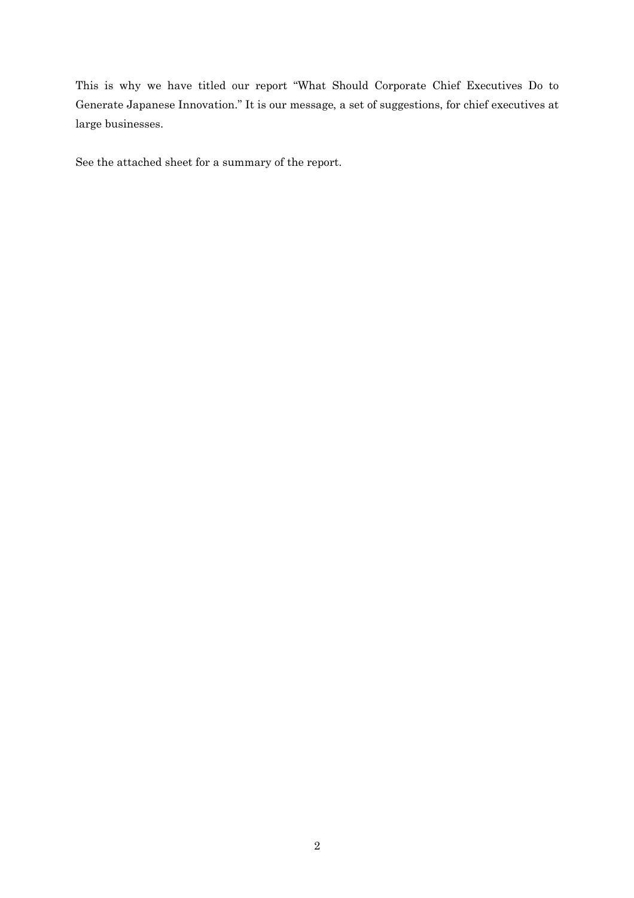This is why we have titled our report "What Should Corporate Chief Executives Do to Generate Japanese Innovation." It is our message, a set of suggestions, for chief executives at large businesses.

See the attached sheet for a summary of the report.